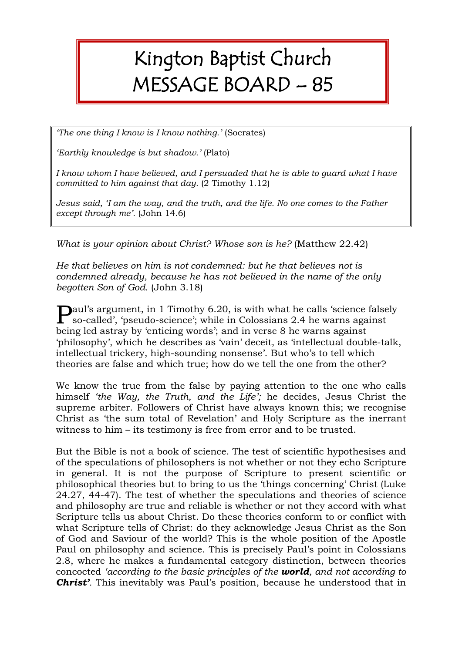## Kington Baptist Church MESSAGE BOARD – 85

*'The one thing I know is I know nothing.'* (Socrates)

*'Earthly knowledge is but shadow.'* (Plato)

*I know whom I have believed, and I persuaded that he is able to guard what I have committed to him against that day.* (2 Timothy 1.12)

*Jesus said, 'I am the way, and the truth, and the life. No one comes to the Father except through me'.* (John 14.6)

*What is your opinion about Christ? Whose son is he?* (Matthew 22.42)

*He that believes on him is not condemned: but he that believes not is condemned already, because he has not believed in the name of the only begotten Son of God.* (John 3.18)

Paul's argument, in 1 Timothy 6.20, is with what he calls 'science falsely so-called', 'pseudo-science'; while in Colossians 2.4 he warns against so-called', 'pseudo-science'; while in Colossians 2.4 he warns against being led astray by 'enticing words'; and in verse 8 he warns against 'philosophy', which he describes as 'vain' deceit, as 'intellectual double-talk, intellectual trickery, high-sounding nonsense'. But who's to tell which theories are false and which true; how do we tell the one from the other?

We know the true from the false by paying attention to the one who calls himself *'the Way, the Truth, and the Life';* he decides, Jesus Christ the supreme arbiter. Followers of Christ have always known this; we recognise Christ as 'the sum total of Revelation' and Holy Scripture as the inerrant witness to him – its testimony is free from error and to be trusted.

But the Bible is not a book of science. The test of scientific hypothesises and of the speculations of philosophers is not whether or not they echo Scripture in general. It is not the purpose of Scripture to present scientific or philosophical theories but to bring to us the 'things concerning' Christ (Luke 24.27, 44-47). The test of whether the speculations and theories of science and philosophy are true and reliable is whether or not they accord with what Scripture tells us about Christ. Do these theories conform to or conflict with what Scripture tells of Christ: do they acknowledge Jesus Christ as the Son of God and Saviour of the world? This is the whole position of the Apostle Paul on philosophy and science. This is precisely Paul's point in Colossians 2.8, where he makes a fundamental category distinction, between theories concocted *'according to the basic principles of the world, and not according to Christ'.* This inevitably was Paul's position, because he understood that in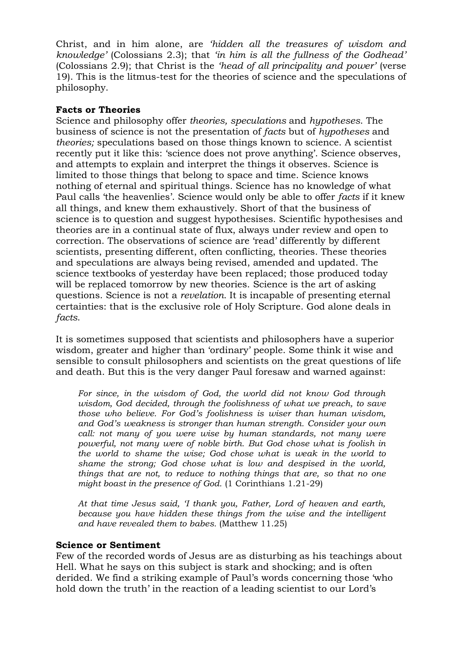Christ, and in him alone, are *'hidden all the treasures of wisdom and knowledge'* (Colossians 2.3); that *'in him is all the fullness of the Godhead'* (Colossians 2.9); that Christ is the *'head of all principality and power'* (verse 19). This is the litmus-test for the theories of science and the speculations of philosophy.

## **Facts or Theories**

Science and philosophy offer *theories, speculations* and *hypotheses*. The business of science is not the presentation of *facts* but of *hypotheses* and *theories;* speculations based on those things known to science. A scientist recently put it like this: 'science does not prove anything'. Science observes, and attempts to explain and interpret the things it observes. Science is limited to those things that belong to space and time. Science knows nothing of eternal and spiritual things. Science has no knowledge of what Paul calls 'the heavenlies'. Science would only be able to offer *facts* if it knew all things, and knew them exhaustively. Short of that the business of science is to question and suggest hypothesises. Scientific hypothesises and theories are in a continual state of flux, always under review and open to correction. The observations of science are 'read' differently by different scientists, presenting different, often conflicting, theories. These theories and speculations are always being revised, amended and updated. The science textbooks of yesterday have been replaced; those produced today will be replaced tomorrow by new theories. Science is the art of asking questions. Science is not a *revelation.* It is incapable of presenting eternal certainties: that is the exclusive role of Holy Scripture. God alone deals in *facts*.

It is sometimes supposed that scientists and philosophers have a superior wisdom, greater and higher than 'ordinary' people. Some think it wise and sensible to consult philosophers and scientists on the great questions of life and death. But this is the very danger Paul foresaw and warned against:

*For since, in the wisdom of God, the world did not know God through wisdom, God decided, through the foolishness of what we preach, to save those who believe. For God's foolishness is wiser than human wisdom, and God's weakness is stronger than human strength. Consider your own call: not many of you were wise by human standards, not many were powerful, not many were of noble birth. But God chose what is foolish in the world to shame the wise; God chose what is weak in the world to shame the strong; God chose what is low and despised in the world, things that are not, to reduce to nothing things that are, so that no one might boast in the presence of God.* (1 Corinthians 1.21-29)

*At that time Jesus said, 'I thank you, Father, Lord of heaven and earth, because you have hidden these things from the wise and the intelligent and have revealed them to babes.* (Matthew 11.25)

## **Science or Sentiment**

Few of the recorded words of Jesus are as disturbing as his teachings about Hell. What he says on this subject is stark and shocking; and is often derided. We find a striking example of Paul's words concerning those 'who hold down the truth' in the reaction of a leading scientist to our Lord's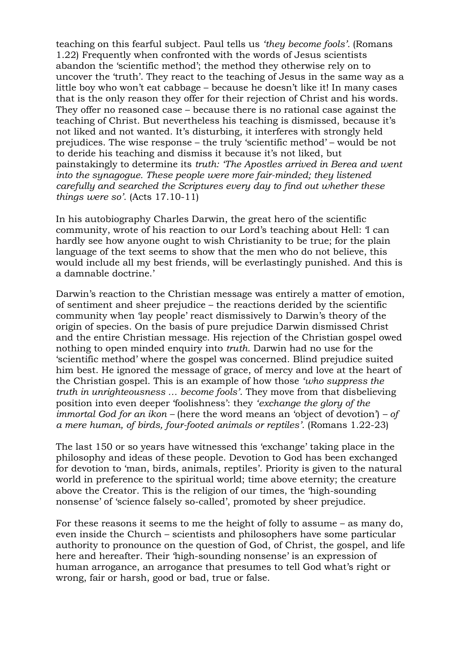teaching on this fearful subject. Paul tells us *'they become fools'.* (Romans 1.22) Frequently when confronted with the words of Jesus scientists abandon the 'scientific method'; the method they otherwise rely on to uncover the 'truth'. They react to the teaching of Jesus in the same way as a little boy who won't eat cabbage – because he doesn't like it! In many cases that is the only reason they offer for their rejection of Christ and his words. They offer no reasoned case – because there is no rational case against the teaching of Christ. But nevertheless his teaching is dismissed, because it's not liked and not wanted. It's disturbing, it interferes with strongly held prejudices. The wise response – the truly 'scientific method' – would be not to deride his teaching and dismiss it because it's not liked, but painstakingly to determine its *truth: 'The Apostles arrived in Berea and went into the synagogue. These people were more fair-minded; they listened carefully and searched the Scriptures every day to find out whether these things were so'.* (Acts 17.10-11)

In his autobiography Charles Darwin, the great hero of the scientific community, wrote of his reaction to our Lord's teaching about Hell: 'I can hardly see how anyone ought to wish Christianity to be true; for the plain language of the text seems to show that the men who do not believe, this would include all my best friends, will be everlastingly punished. And this is a damnable doctrine.'

Darwin's reaction to the Christian message was entirely a matter of emotion, of sentiment and sheer prejudice – the reactions derided by the scientific community when 'lay people' react dismissively to Darwin's theory of the origin of species. On the basis of pure prejudice Darwin dismissed Christ and the entire Christian message. His rejection of the Christian gospel owed nothing to open minded enquiry into *truth.* Darwin had no use for the 'scientific method' where the gospel was concerned. Blind prejudice suited him best. He ignored the message of grace, of mercy and love at the heart of the Christian gospel. This is an example of how those *'who suppress the truth in unrighteousness … become fools'*. They move from that disbelieving position into even deeper 'foolishness': they *'exchange the glory of the immortal God for an ikon –* (here the word means an 'object of devotion') *– of a mere human, of birds, four-footed animals or reptiles'.* (Romans 1.22-23)

The last 150 or so years have witnessed this 'exchange' taking place in the philosophy and ideas of these people. Devotion to God has been exchanged for devotion to 'man, birds, animals, reptiles'. Priority is given to the natural world in preference to the spiritual world; time above eternity; the creature above the Creator. This is the religion of our times, the 'high-sounding nonsense' of 'science falsely so-called', promoted by sheer prejudice.

For these reasons it seems to me the height of folly to assume – as many do, even inside the Church – scientists and philosophers have some particular authority to pronounce on the question of God, of Christ, the gospel, and life here and hereafter. Their 'high-sounding nonsense' is an expression of human arrogance, an arrogance that presumes to tell God what's right or wrong, fair or harsh, good or bad, true or false.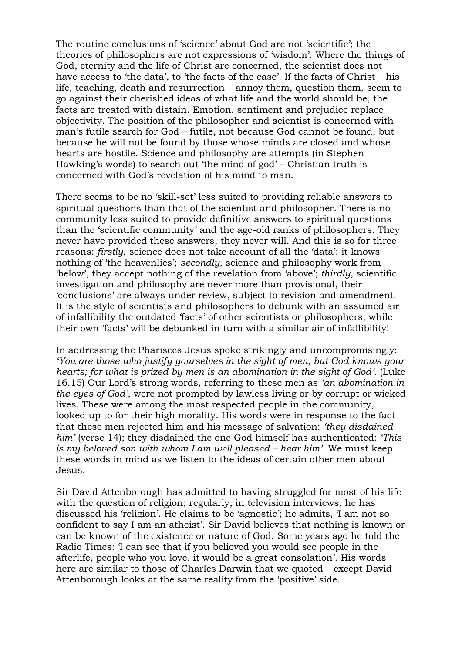The routine conclusions of 'science' about God are not 'scientific'; the theories of philosophers are not expressions of 'wisdom'. Where the things of God, eternity and the life of Christ are concerned, the scientist does not have access to 'the data', to 'the facts of the case'. If the facts of Christ – his life, teaching, death and resurrection – annoy them, question them, seem to go against their cherished ideas of what life and the world should be, the facts are treated with distain. Emotion, sentiment and prejudice replace objectivity. The position of the philosopher and scientist is concerned with man's futile search for God – futile, not because God cannot be found, but because he will not be found by those whose minds are closed and whose hearts are hostile. Science and philosophy are attempts (in Stephen Hawking's words) to search out 'the mind of god' – Christian truth is concerned with God's revelation of his mind to man.

There seems to be no 'skill-set' less suited to providing reliable answers to spiritual questions than that of the scientist and philosopher. There is no community less suited to provide definitive answers to spiritual questions than the 'scientific community' and the age-old ranks of philosophers. They never have provided these answers, they never will. And this is so for three reasons: *firstly*, science does not take account of all the 'data': it knows nothing of 'the heavenlies'; *secondly*, science and philosophy work from 'below', they accept nothing of the revelation from 'above'; *thirdly*, scientific investigation and philosophy are never more than provisional, their 'conclusions' are always under review, subject to revision and amendment. It is the style of scientists and philosophers to debunk with an assumed air of infallibility the outdated 'facts' of other scientists or philosophers; while their own 'facts' will be debunked in turn with a similar air of infallibility!

In addressing the Pharisees Jesus spoke strikingly and uncompromisingly: *'You are those who justify yourselves in the sight of men; but God knows your hearts; for what is prized by men is an abomination in the sight of God'.* (Luke 16.15) Our Lord's strong words, referring to these men as *'an abomination in the eyes of God'*, were not prompted by lawless living or by corrupt or wicked lives. These were among the most respected people in the community, looked up to for their high morality. His words were in response to the fact that these men rejected him and his message of salvation: *'they disdained him'* (verse 14); they disdained the one God himself has authenticated: *'This is my beloved son with whom I am well pleased – hear him'.* We must keep these words in mind as we listen to the ideas of certain other men about Jesus.

Sir David Attenborough has admitted to having struggled for most of his life with the question of religion; regularly, in television interviews, he has discussed his 'religion'. He claims to be 'agnostic'; he admits, 'I am not so confident to say I am an atheist'. Sir David believes that nothing is known or can be known of the existence or nature of God. Some years ago he told the Radio Times: 'I can see that if you believed you would see people in the afterlife, people who you love, it would be a great consolation'. His words here are similar to those of Charles Darwin that we quoted – except David Attenborough looks at the same reality from the 'positive' side.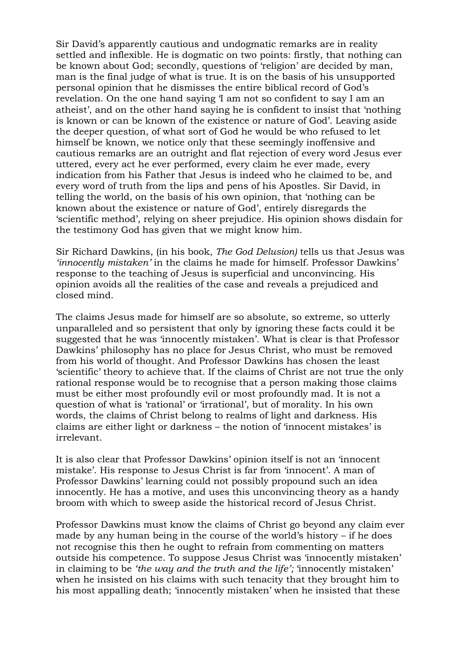Sir David's apparently cautious and undogmatic remarks are in reality settled and inflexible. He is dogmatic on two points: firstly, that nothing can be known about God; secondly, questions of 'religion' are decided by man, man is the final judge of what is true. It is on the basis of his unsupported personal opinion that he dismisses the entire biblical record of God's revelation. On the one hand saying 'I am not so confident to say I am an atheist', and on the other hand saying he is confident to insist that 'nothing is known or can be known of the existence or nature of God'. Leaving aside the deeper question, of what sort of God he would be who refused to let himself be known, we notice only that these seemingly inoffensive and cautious remarks are an outright and flat rejection of every word Jesus ever uttered, every act he ever performed, every claim he ever made, every indication from his Father that Jesus is indeed who he claimed to be, and every word of truth from the lips and pens of his Apostles. Sir David, in telling the world, on the basis of his own opinion, that 'nothing can be known about the existence or nature of God', entirely disregards the 'scientific method', relying on sheer prejudice. His opinion shows disdain for the testimony God has given that we might know him.

Sir Richard Dawkins, (in his book, *The God Delusion)* tells us that Jesus was *'innocently mistaken'* in the claims he made for himself. Professor Dawkins' response to the teaching of Jesus is superficial and unconvincing. His opinion avoids all the realities of the case and reveals a prejudiced and closed mind.

The claims Jesus made for himself are so absolute, so extreme, so utterly unparalleled and so persistent that only by ignoring these facts could it be suggested that he was 'innocently mistaken'. What is clear is that Professor Dawkins' philosophy has no place for Jesus Christ, who must be removed from his world of thought. And Professor Dawkins has chosen the least 'scientific' theory to achieve that. If the claims of Christ are not true the only rational response would be to recognise that a person making those claims must be either most profoundly evil or most profoundly mad. It is not a question of what is 'rational' or 'irrational', but of morality. In his own words, the claims of Christ belong to realms of light and darkness. His claims are either light or darkness – the notion of 'innocent mistakes' is irrelevant.

It is also clear that Professor Dawkins' opinion itself is not an 'innocent mistake'. His response to Jesus Christ is far from 'innocent'. A man of Professor Dawkins' learning could not possibly propound such an idea innocently. He has a motive, and uses this unconvincing theory as a handy broom with which to sweep aside the historical record of Jesus Christ.

Professor Dawkins must know the claims of Christ go beyond any claim ever made by any human being in the course of the world's history – if he does not recognise this then he ought to refrain from commenting on matters outside his competence. To suppose Jesus Christ was 'innocently mistaken' in claiming to be *'the way and the truth and the life';* 'innocently mistaken' when he insisted on his claims with such tenacity that they brought him to his most appalling death; 'innocently mistaken' when he insisted that these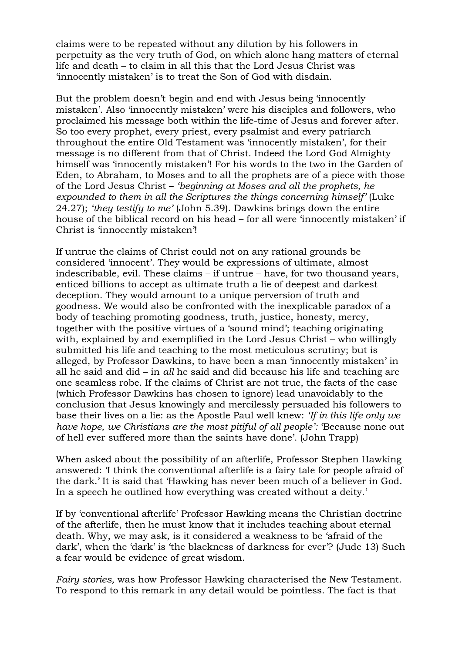claims were to be repeated without any dilution by his followers in perpetuity as the very truth of God, on which alone hang matters of eternal life and death – to claim in all this that the Lord Jesus Christ was 'innocently mistaken' is to treat the Son of God with disdain.

But the problem doesn't begin and end with Jesus being 'innocently mistaken'. Also 'innocently mistaken' were his disciples and followers, who proclaimed his message both within the life-time of Jesus and forever after. So too every prophet, every priest, every psalmist and every patriarch throughout the entire Old Testament was 'innocently mistaken', for their message is no different from that of Christ. Indeed the Lord God Almighty himself was 'innocently mistaken'! For his words to the two in the Garden of Eden, to Abraham, to Moses and to all the prophets are of a piece with those of the Lord Jesus Christ – *'beginning at Moses and all the prophets, he expounded to them in all the Scriptures the things concerning himself'* (Luke 24.27); *'they testify to me'* (John 5.39). Dawkins brings down the entire house of the biblical record on his head – for all were 'innocently mistaken' if Christ is 'innocently mistaken'!

If untrue the claims of Christ could not on any rational grounds be considered 'innocent'. They would be expressions of ultimate, almost indescribable, evil. These claims – if untrue – have, for two thousand years, enticed billions to accept as ultimate truth a lie of deepest and darkest deception. They would amount to a unique perversion of truth and goodness. We would also be confronted with the inexplicable paradox of a body of teaching promoting goodness, truth, justice, honesty, mercy, together with the positive virtues of a 'sound mind'; teaching originating with, explained by and exemplified in the Lord Jesus Christ – who willingly submitted his life and teaching to the most meticulous scrutiny; but is alleged, by Professor Dawkins, to have been a man 'innocently mistaken' in all he said and did – in *all* he said and did because his life and teaching are one seamless robe. If the claims of Christ are not true, the facts of the case (which Professor Dawkins has chosen to ignore) lead unavoidably to the conclusion that Jesus knowingly and mercilessly persuaded his followers to base their lives on a lie: as the Apostle Paul well knew: *'If in this life only we have hope, we Christians are the most pitiful of all people':* 'Because none out of hell ever suffered more than the saints have done'. (John Trapp)

When asked about the possibility of an afterlife, Professor Stephen Hawking answered: 'I think the conventional afterlife is a fairy tale for people afraid of the dark.' It is said that 'Hawking has never been much of a believer in God. In a speech he [outlined how everything was created without a deity](https://www.cnet.com/news/stephen-hawking-so-heres-how-it-all-happened-without-god/).'

If by 'conventional afterlife' Professor Hawking means the Christian doctrine of the afterlife, then he must know that it includes teaching about eternal death. Why, we may ask, is it considered a weakness to be 'afraid of the dark', when the 'dark' is 'the blackness of darkness for ever'? (Jude 13) Such a fear would be evidence of great wisdom.

*Fairy stories,* was how Professor Hawking characterised the New Testament. To respond to this remark in any detail would be pointless. The fact is that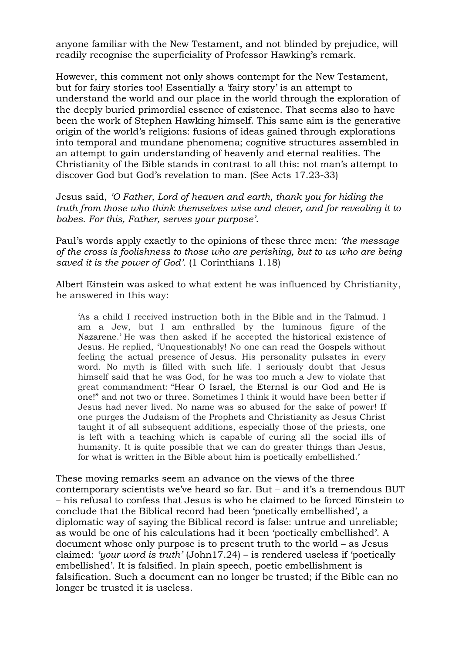anyone familiar with the New Testament, and not blinded by prejudice, will readily recognise the superficiality of Professor Hawking's remark.

However, this comment not only shows contempt for the New Testament, but for fairy stories too! Essentially a 'fairy story' is an attempt to understand the world and our place in the world through the exploration of the deeply buried primordial essence of existence. That seems also to have been the work of Stephen Hawking himself. This same aim is the generative origin of the world's religions: fusions of ideas gained through explorations into temporal and mundane phenomena; cognitive structures assembled in an attempt to gain understanding of heavenly and eternal realities. The Christianity of the Bible stands in contrast to all this: not man's attempt to discover God but God's revelation to man. (See Acts 17.23-33)

Jesus said, *'O Father, Lord of heaven and earth, thank you for hiding the truth from those who think themselves wise and clever, and for revealing it to babes. For this, Father, serves your purpose'.*

Paul's words apply exactly to the opinions of these three men: *'the message of the cross is foolishness to those who are perishing, but to us who are being saved it is the power of God'.* (1 Corinthians 1.18)

Albert Einstein was asked to what extent he was influenced by Christianity, he answered in this way:

'As a child I received instruction both in the Bible and in the Talmud. I am a Jew, but I am enthralled by the luminous figure of the Nazarene.' He was then asked if he accepted the historical existence of Jesus. He replied, 'Unquestionably! No one can read the Gospels without feeling the actual presence of Jesus. His personality pulsates in every word. No myth is filled with such life. I seriously doubt that Jesus himself said that he was God, for he was too much a Jew to violate that great commandment: "Hear O Israel, the Eternal is our God and He is one!" and not two or three. Sometimes I think it would have been better if Jesus had never lived. No name was so abused for the sake of power! If one purges the Judaism of the Prophets and Christianity as Jesus Christ taught it of all subsequent additions, especially those of the priests, one is left with a teaching which is capable of curing all the social ills of humanity. It is quite possible that we can do greater things than Jesus, for what is written in the Bible about him is poetically embellished.'

These moving remarks seem an advance on the views of the three contemporary scientists we've heard so far. But – and it's a tremendous BUT – his refusal to confess that Jesus is who he claimed to be forced Einstein to conclude that the Biblical record had been 'poetically embellished', a diplomatic way of saying the Biblical record is false: untrue and unreliable; as would be one of his calculations had it been 'poetically embellished'. A document whose only purpose is to present truth to the world – as Jesus claimed: *'your word is truth'* (John17.24) – is rendered useless if 'poetically embellished'. It is falsified. In plain speech, poetic embellishment is falsification. Such a document can no longer be trusted; if the Bible can no longer be trusted it is useless.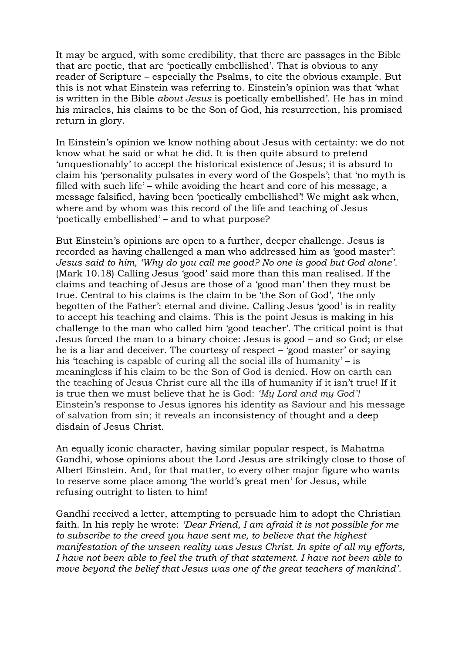It may be argued, with some credibility, that there are passages in the Bible that are poetic, that are 'poetically embellished'. That is obvious to any reader of Scripture – especially the Psalms, to cite the obvious example. But this is not what Einstein was referring to. Einstein's opinion was that 'what is written in the Bible *about Jesus* is poetically embellished'. He has in mind his miracles, his claims to be the Son of God, his resurrection, his promised return in glory.

In Einstein's opinion we know nothing about Jesus with certainty: we do not know what he said or what he did. It is then quite absurd to pretend 'unquestionably' to accept the historical existence of Jesus; it is absurd to claim his 'personality pulsates in every word of the Gospels'; that 'no myth is filled with such life' – while avoiding the heart and core of his message, a message falsified, having been 'poetically embellished'! We might ask when, where and by whom was this record of the life and teaching of Jesus 'poetically embellished' – and to what purpose?

But Einstein's opinions are open to a further, deeper challenge. Jesus is recorded as having challenged a man who addressed him as 'good master': *Jesus said to him, 'Why do you call me good? No one is good but God alone'.* (Mark 10.18) Calling Jesus 'good' said more than this man realised. If the claims and teaching of Jesus are those of a 'good man' then they must be true. Central to his claims is the claim to be 'the Son of God', 'the only begotten of the Father': eternal and divine. Calling Jesus 'good' is in reality to accept his teaching and claims. This is the point Jesus is making in his challenge to the man who called him 'good teacher'. The critical point is that Jesus forced the man to a binary choice: Jesus is good – and so God; or else he is a liar and deceiver. The courtesy of respect – 'good master' or saying his 'teaching is capable of curing all the social ills of humanity' – is meaningless if his claim to be the Son of God is denied. How on earth can the teaching of Jesus Christ cure all the ills of humanity if it isn't true! If it is true then we must believe that he is God: *'My Lord and my God'!* Einstein's response to Jesus ignores his identity as Saviour and his message of salvation from sin; it reveals an inconsistency of thought and a deep disdain of Jesus Christ.

An equally iconic character, having similar popular respect, is Mahatma Gandhi, whose opinions about the Lord Jesus are strikingly close to those of Albert Einstein. And, for that matter, to every other major figure who wants to reserve some place among 'the world's great men' for Jesus, while refusing outright to listen to him!

Gandhi received a letter, attempting to persuade him to adopt the Christian faith. In his reply he wrote: *'Dear Friend, I am afraid it is not possible for me to subscribe to the creed you have sent me, to believe that the highest manifestation of the unseen reality was Jesus Christ. In spite of all my efforts, I have not been able to feel the truth of that statement. I have not been able to move beyond the belief that Jesus was one of the great teachers of mankind'.*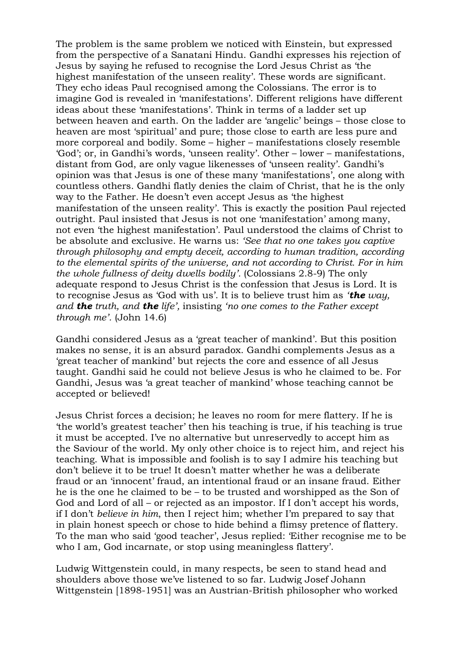The problem is the same problem we noticed with Einstein, but expressed from the perspective of a Sanatani Hindu. Gandhi expresses his rejection of Jesus by saying he refused to recognise the Lord Jesus Christ as 'the highest manifestation of the unseen reality'. These words are significant. They echo ideas Paul recognised among the Colossians. The error is to imagine God is revealed in 'manifestations'. Different religions have different ideas about these 'manifestations'. Think in terms of a ladder set up between heaven and earth. On the ladder are 'angelic' beings – those close to heaven are most 'spiritual' and pure; those close to earth are less pure and more corporeal and bodily. Some – higher – manifestations closely resemble 'God'; or, in Gandhi's words, 'unseen reality'. Other – lower – manifestations, distant from God, are only vague likenesses of 'unseen reality'. Gandhi's opinion was that Jesus is one of these many 'manifestations', one along with countless others. Gandhi flatly denies the claim of Christ, that he is the only way to the Father. He doesn't even accept Jesus as 'the highest manifestation of the unseen reality'. This is exactly the position Paul rejected outright. Paul insisted that Jesus is not one 'manifestation' among many, not even 'the highest manifestation'. Paul understood the claims of Christ to be absolute and exclusive. He warns us: *'See that no one takes you captive through philosophy and empty deceit, according to human tradition, according to the elemental spirits of the universe, and not according to Christ. For in him the whole fullness of deity dwells bodily'.* (Colossians 2.8-9) The only adequate respond to Jesus Christ is the confession that Jesus is Lord. It is to recognise Jesus as 'God with us'. It is to believe trust him as *'the way, and the truth, and the life',* insisting *'no one comes to the Father except through me'.* (John 14.6)

Gandhi considered Jesus as a 'great teacher of mankind'. But this position makes no sense, it is an absurd paradox. Gandhi complements Jesus as a 'great teacher of mankind' but rejects the core and essence of all Jesus taught. Gandhi said he could not believe Jesus is who he claimed to be. For Gandhi, Jesus was 'a great teacher of mankind' whose teaching cannot be accepted or believed!

Jesus Christ forces a decision; he leaves no room for mere flattery. If he is 'the world's greatest teacher' then his teaching is true, if his teaching is true it must be accepted. I've no alternative but unreservedly to accept him as the Saviour of the world. My only other choice is to reject him, and reject his teaching. What is impossible and foolish is to say I admire his teaching but don't believe it to be true! It doesn't matter whether he was a deliberate fraud or an 'innocent' fraud, an intentional fraud or an insane fraud. Either he is the one he claimed to be – to be trusted and worshipped as the Son of God and Lord of all – or rejected as an impostor. If I don't accept his words, if I don't *believe in him*, then I reject him; whether I'm prepared to say that in plain honest speech or chose to hide behind a flimsy pretence of flattery. To the man who said 'good teacher', Jesus replied: 'Either recognise me to be who I am, God incarnate, or stop using meaningless flattery'.

Ludwig Wittgenstein could, in many respects, be seen to stand head and shoulders above those we've listened to so far. Ludwig Josef Johann Wittgenstein [1898-1951] was an Austrian-British philosopher who worked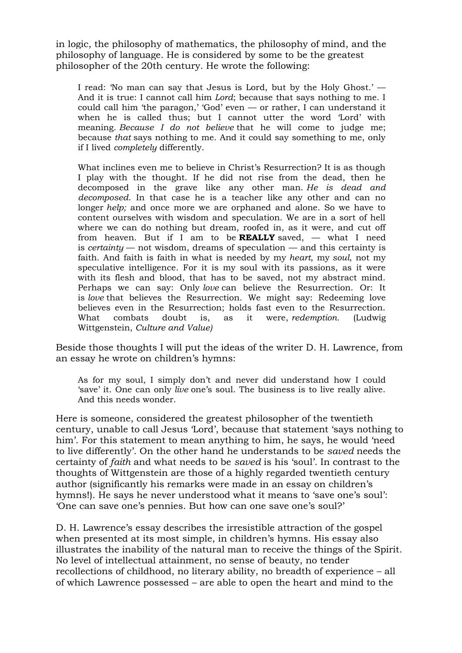in logic, the philosophy of mathematics, the philosophy of mind, and the philosophy of language. He is considered by some to be the greatest philosopher of the 20th century. He wrote the following:

I read: 'No man can say that Jesus is Lord, but by the Holy Ghost.' — And it is true: I cannot call him *Lord*; because that says nothing to me. I could call him 'the paragon,' 'God' even — or rather, I can understand it when he is called thus; but I cannot utter the word 'Lord' with meaning. *Because I do not believe* that he will come to judge me; because *that* says nothing to me. And it could say something to me, only if I lived *completely* differently.

What inclines even me to believe in Christ's Resurrection? It is as though I play with the thought. If he did not rise from the dead, then he decomposed in the grave like any other man. *He is dead and decomposed*. In that case he is a teacher like any other and can no longer *help;* and once more we are orphaned and alone. So we have to content ourselves with wisdom and speculation. We are in a sort of hell where we can do nothing but dream, roofed in, as it were, and cut off from heaven. But if I am to be **REALLY** saved, — what I need is *certainty* — not wisdom, dreams of speculation — and this certainty is faith. And faith is faith in what is needed by my *heart*, my *soul*, not my speculative intelligence. For it is my soul with its passions, as it were with its flesh and blood, that has to be saved, not my abstract mind. Perhaps we can say: Only *love* can believe the Resurrection. Or: It is *love* that believes the Resurrection. We might say: Redeeming love believes even in the Resurrection; holds fast even to the Resurrection. What combats doubt is, as it were, *redemption.* (Ludwig Wittgenstein, *Culture and Value)*

Beside those thoughts I will put the ideas of the writer D. H. Lawrence, from an essay he wrote on children's hymns:

As for my soul, I simply don't and never did understand how I could 'save' it. One can only *live* one's soul. The business is to live really alive. And this needs wonder.

Here is someone, considered the greatest philosopher of the twentieth century, unable to call Jesus 'Lord', because that statement 'says nothing to him'. For this statement to mean anything to him, he says, he would 'need to live differently'. On the other hand he understands to be *saved* needs the certainty of *faith* and what needs to be *saved* is his 'soul'. In contrast to the thoughts of Wittgenstein are those of a highly regarded twentieth century author (significantly his remarks were made in an essay on children's hymns!). He says he never understood what it means to 'save one's soul': 'One can save one's pennies. But how can one save one's soul?'

D. H. Lawrence's essay describes the irresistible attraction of the gospel when presented at its most simple, in children's hymns. His essay also illustrates the inability of the natural man to receive the things of the Spirit. No level of intellectual attainment, no sense of beauty, no tender recollections of childhood, no literary ability, no breadth of experience – all of which Lawrence possessed – are able to open the heart and mind to the